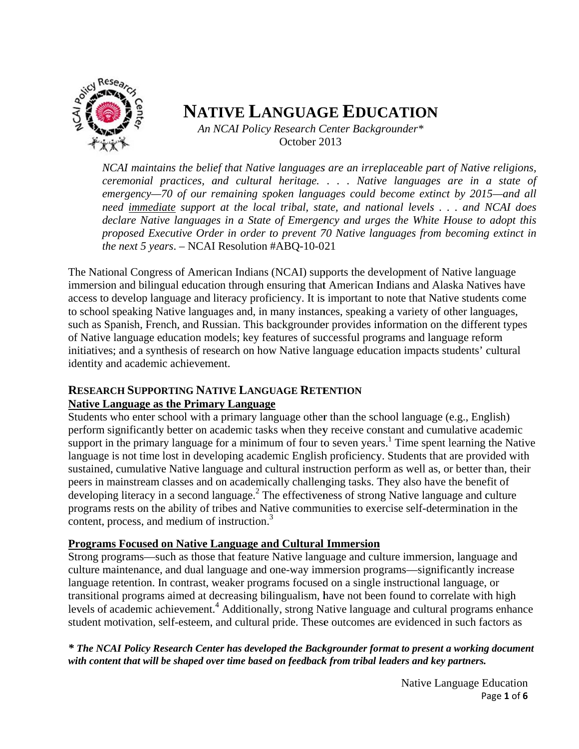

# **NATIVE LANGUAGE EDUCATION**

An NCAI Policy Research Center Backgrounder\* October 2013

NCAI maintains the belief that Native languages are an irreplaceable part of Native religions, ceremonial practices, and cultural heritage. . . . Native languages are in a state of emergency—70 of our remaining spoken languages could become extinct by 2015—and all need immediate support at the local tribal, state, and national levels ... and NCAI does declare Native languages in a State of Emergency and urges the White House to adopt this proposed Executive Order in order to prevent 70 Native languages from becoming extinct in the next 5 years.  $-$  NCAI Resolution #ABQ-10-021

The National Congress of American Indians (NCAI) supports the development of Native language immersion and bilingual education through ensuring that American Indians and Alaska Natives have access to develop language and literacy proficiency. It is important to note that Native students come to school speaking Native languages and, in many instances, speaking a variety of other languages, such as Spanish, French, and Russian. This backgrounder provides information on the different types of Native language education models; key features of successful programs and language reform initiatives; and a synthesis of research on how Native language education impacts students' cultural identity and academic achievement.

## **RESEARCH SUPPORTING NATIVE LANGUAGE RETENTION**

### **Native Language as the Primary Language**

Students who enter school with a primary language other than the school language (e.g., English) perform significantly better on academic tasks when they receive constant and cumulative academic support in the primary language for a minimum of four to seven years.<sup>1</sup> Time spent learning the Native language is not time lost in developing academic English proficiency. Students that are provided with sustained, cumulative Native language and cultural instruction perform as well as, or better than, their peers in mainstream classes and on academically challenging tasks. They also have the benefit of developing literacy in a second language.<sup>2</sup> The effectiveness of strong Native language and culture programs rests on the ability of tribes and Native communities to exercise self-determination in the content, process, and medium of instruction.<sup>3</sup>

### **Programs Focused on Native Language and Cultural Immersion**

Strong programs—such as those that feature Native language and culture immersion, language and culture maintenance, and dual language and one-way immersion programs—significantly increase language retention. In contrast, weaker programs focused on a single instructional language, or transitional programs aimed at decreasing bilingualism, have not been found to correlate with high levels of academic achievement.<sup>4</sup> Additionally, strong Native language and cultural programs enhance student motivation, self-esteem, and cultural pride. These outcomes are evidenced in such factors as

### \* The NCAI Policy Research Center has developed the Backgrounder format to present a working document with content that will be shaped over time based on feedback from tribal leaders and key partners.

Native Language Education Page 1 of 6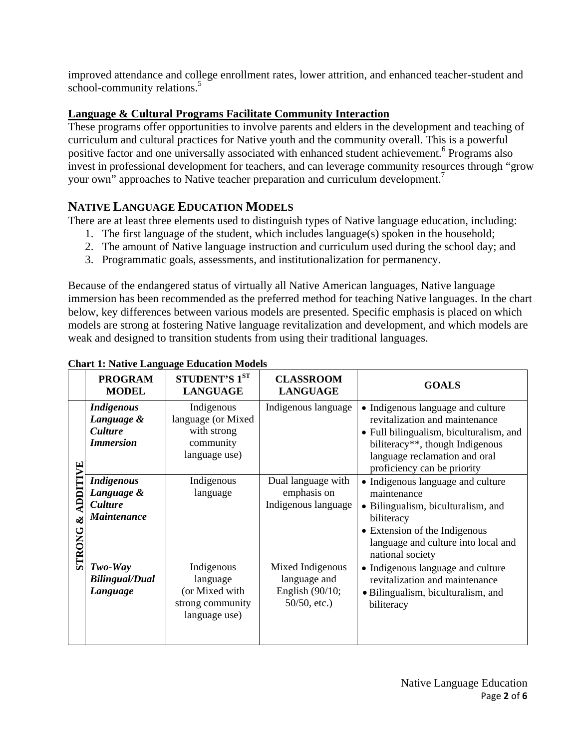improved attendance and college enrollment rates, lower attrition, and enhanced teacher-student and school-community relations.<sup>5</sup>

## **Language & Cultural Programs Facilitate Community Interaction**

These programs offer opportunities to involve parents and elders in the development and teaching of curriculum and cultural practices for Native youth and the community overall. This is a powerful positive factor and one universally associated with enhanced student achievement.<sup>6</sup> Programs also invest in professional development for teachers, and can leverage community resources through "grow your own" approaches to Native teacher preparation and curriculum development.<sup>7</sup>

## **NATIVE LANGUAGE EDUCATION MODELS**

There are at least three elements used to distinguish types of Native language education, including:

- 1. The first language of the student, which includes language(s) spoken in the household;
- 2. The amount of Native language instruction and curriculum used during the school day; and
- 3. Programmatic goals, assessments, and institutionalization for permanency.

Because of the endangered status of virtually all Native American languages, Native language immersion has been recommended as the preferred method for teaching Native languages. In the chart below, key differences between various models are presented. Specific emphasis is placed on which models are strong at fostering Native language revitalization and development, and which models are weak and designed to transition students from using their traditional languages.

|                                  | <b>PROGRAM</b><br><b>MODEL</b>                                        | STUDENT'S 1ST<br><b>LANGUAGE</b>                                               | <b>CLASSROOM</b><br><b>LANGUAGE</b>                                      | <b>GOALS</b>                                                                                                                                                                                                      |
|----------------------------------|-----------------------------------------------------------------------|--------------------------------------------------------------------------------|--------------------------------------------------------------------------|-------------------------------------------------------------------------------------------------------------------------------------------------------------------------------------------------------------------|
| Ë<br>DDITI<br>ళ<br><b>STRONG</b> | <b>Indigenous</b><br>Language &<br><b>Culture</b><br><b>Immersion</b> | Indigenous<br>language (or Mixed)<br>with strong<br>community<br>language use) | Indigenous language                                                      | • Indigenous language and culture<br>revitalization and maintenance<br>· Full bilingualism, biculturalism, and<br>biliteracy**, though Indigenous<br>language reclamation and oral<br>proficiency can be priority |
|                                  | <b>Indigenous</b><br>Language &<br><b>Culture</b><br>Maintenance      | Indigenous<br>language                                                         | Dual language with<br>emphasis on<br>Indigenous language                 | • Indigenous language and culture<br>maintenance<br>• Bilingualism, biculturalism, and<br>biliteracy<br>• Extension of the Indigenous<br>language and culture into local and<br>national society                  |
|                                  | $Two-Way$<br><b>Bilingual/Dual</b><br>Language                        | Indigenous<br>language<br>(or Mixed with<br>strong community<br>language use)  | Mixed Indigenous<br>language and<br>English $(90/10;$<br>$50/50$ , etc.) | • Indigenous language and culture<br>revitalization and maintenance<br>• Bilingualism, biculturalism, and<br>biliteracy                                                                                           |

#### **Chart 1: Native Language Education Models**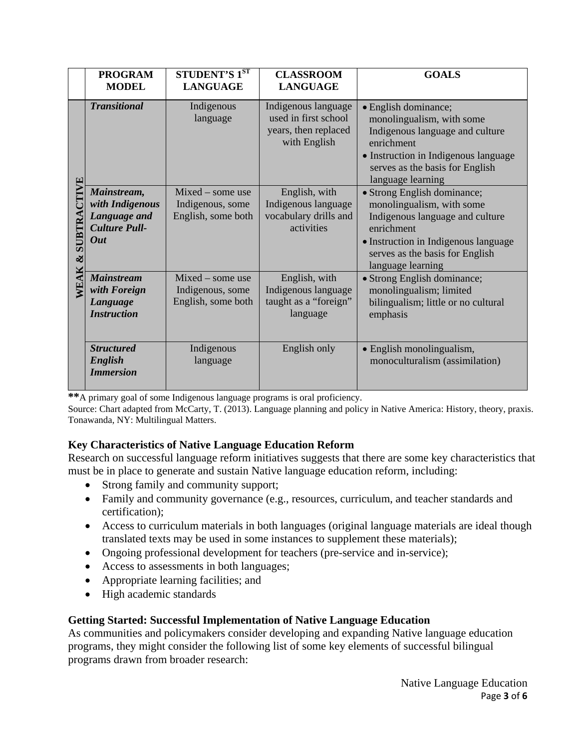|                                 | <b>PROGRAM</b><br><b>MODEL</b>                                                       | <b>STUDENT'S 1ST</b><br><b>LANGUAGE</b>                      | <b>CLASSROOM</b><br><b>LANGUAGE</b>                                                 | <b>GOALS</b>                                                                                                                                                                                              |
|---------------------------------|--------------------------------------------------------------------------------------|--------------------------------------------------------------|-------------------------------------------------------------------------------------|-----------------------------------------------------------------------------------------------------------------------------------------------------------------------------------------------------------|
| È<br>SUBTRA<br>$\infty$<br>NEAK | <b>Transitional</b>                                                                  | Indigenous<br>language                                       | Indigenous language<br>used in first school<br>years, then replaced<br>with English | · English dominance;<br>monolingualism, with some<br>Indigenous language and culture<br>enrichment<br>• Instruction in Indigenous language<br>serves as the basis for English<br>language learning        |
|                                 | Mainstream,<br>with Indigenous<br>Language and<br><b>Culture Pull-</b><br><b>Out</b> | $Mixed - some use$<br>Indigenous, some<br>English, some both | English, with<br>Indigenous language<br>vocabulary drills and<br>activities         | • Strong English dominance;<br>monolingualism, with some<br>Indigenous language and culture<br>enrichment<br>• Instruction in Indigenous language<br>serves as the basis for English<br>language learning |
|                                 | <b>Mainstream</b><br>with Foreign<br>Language<br><b>Instruction</b>                  | Mixed - some use<br>Indigenous, some<br>English, some both   | English, with<br>Indigenous language<br>taught as a "foreign"<br>language           | • Strong English dominance;<br>monolingualism; limited<br>bilingualism; little or no cultural<br>emphasis                                                                                                 |
|                                 | <b>Structured</b><br>English<br><b>Immersion</b>                                     | Indigenous<br>language                                       | English only                                                                        | • English monolingualism,<br>monoculturalism (assimilation)                                                                                                                                               |

**\*\***A primary goal of some Indigenous language programs is oral proficiency.

Source: Chart adapted from McCarty, T. (2013). Language planning and policy in Native America: History, theory, praxis. Tonawanda, NY: Multilingual Matters.

## **Key Characteristics of Native Language Education Reform**

Research on successful language reform initiatives suggests that there are some key characteristics that must be in place to generate and sustain Native language education reform, including:

- Strong family and community support;
- Family and community governance (e.g., resources, curriculum, and teacher standards and certification);
- Access to curriculum materials in both languages (original language materials are ideal though translated texts may be used in some instances to supplement these materials);
- Ongoing professional development for teachers (pre-service and in-service);
- Access to assessments in both languages;
- Appropriate learning facilities; and
- High academic standards

## **Getting Started: Successful Implementation of Native Language Education**

As communities and policymakers consider developing and expanding Native language education programs, they might consider the following list of some key elements of successful bilingual programs drawn from broader research: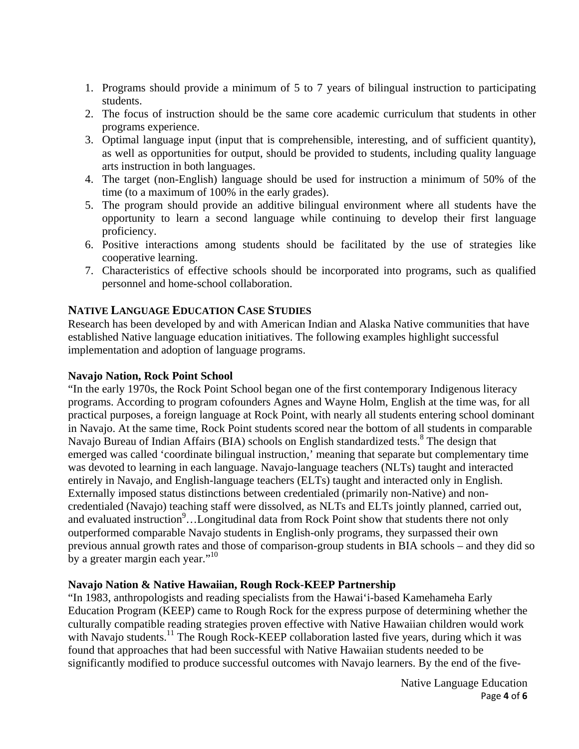- 1. Programs should provide a minimum of 5 to 7 years of bilingual instruction to participating students.
- 2. The focus of instruction should be the same core academic curriculum that students in other programs experience.
- 3. Optimal language input (input that is comprehensible, interesting, and of sufficient quantity), as well as opportunities for output, should be provided to students, including quality language arts instruction in both languages.
- 4. The target (non-English) language should be used for instruction a minimum of 50% of the time (to a maximum of 100% in the early grades).
- 5. The program should provide an additive bilingual environment where all students have the opportunity to learn a second language while continuing to develop their first language proficiency.
- 6. Positive interactions among students should be facilitated by the use of strategies like cooperative learning.
- 7. Characteristics of effective schools should be incorporated into programs, such as qualified personnel and home-school collaboration.

## **NATIVE LANGUAGE EDUCATION CASE STUDIES**

Research has been developed by and with American Indian and Alaska Native communities that have established Native language education initiatives. The following examples highlight successful implementation and adoption of language programs.

#### **Navajo Nation, Rock Point School**

"In the early 1970s, the Rock Point School began one of the first contemporary Indigenous literacy programs. According to program cofounders Agnes and Wayne Holm, English at the time was, for all practical purposes, a foreign language at Rock Point, with nearly all students entering school dominant in Navajo. At the same time, Rock Point students scored near the bottom of all students in comparable Navajo Bureau of Indian Affairs (BIA) schools on English standardized tests.<sup>8</sup> The design that emerged was called 'coordinate bilingual instruction,' meaning that separate but complementary time was devoted to learning in each language. Navajo-language teachers (NLTs) taught and interacted entirely in Navajo, and English-language teachers (ELTs) taught and interacted only in English. Externally imposed status distinctions between credentialed (primarily non-Native) and noncredentialed (Navajo) teaching staff were dissolved, as NLTs and ELTs jointly planned, carried out, and evaluated instruction<sup>9</sup>...Longitudinal data from Rock Point show that students there not only outperformed comparable Navajo students in English-only programs, they surpassed their own previous annual growth rates and those of comparison-group students in BIA schools – and they did so by a greater margin each year."<sup>10</sup>

### **Navajo Nation & Native Hawaiian, Rough Rock-KEEP Partnership**

"In 1983, anthropologists and reading specialists from the Hawai'i-based Kamehameha Early Education Program (KEEP) came to Rough Rock for the express purpose of determining whether the culturally compatible reading strategies proven effective with Native Hawaiian children would work with Navajo students.<sup>11</sup> The Rough Rock-KEEP collaboration lasted five years, during which it was found that approaches that had been successful with Native Hawaiian students needed to be significantly modified to produce successful outcomes with Navajo learners. By the end of the five-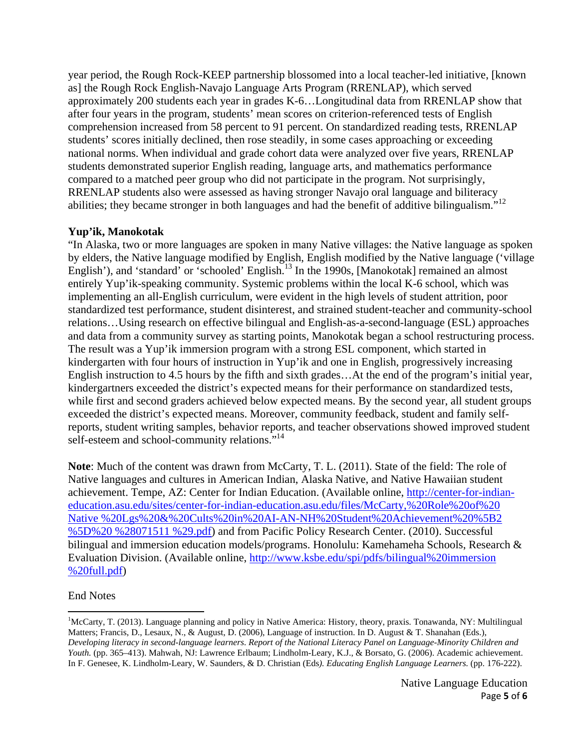year period, the Rough Rock-KEEP partnership blossomed into a local teacher-led initiative, [known as] the Rough Rock English-Navajo Language Arts Program (RRENLAP), which served approximately 200 students each year in grades K-6…Longitudinal data from RRENLAP show that after four years in the program, students' mean scores on criterion-referenced tests of English comprehension increased from 58 percent to 91 percent. On standardized reading tests, RRENLAP students' scores initially declined, then rose steadily, in some cases approaching or exceeding national norms. When individual and grade cohort data were analyzed over five years, RRENLAP students demonstrated superior English reading, language arts, and mathematics performance compared to a matched peer group who did not participate in the program. Not surprisingly, RRENLAP students also were assessed as having stronger Navajo oral language and biliteracy abilities; they became stronger in both languages and had the benefit of additive bilingualism."<sup>12</sup>

## **Yup'ik, Manokotak**

"In Alaska, two or more languages are spoken in many Native villages: the Native language as spoken by elders, the Native language modified by English, English modified by the Native language ('village English'), and 'standard' or 'schooled' English.<sup>13</sup> In the 1990s, [Manokotak] remained an almost entirely Yup'ik-speaking community. Systemic problems within the local K-6 school, which was implementing an all-English curriculum, were evident in the high levels of student attrition, poor standardized test performance, student disinterest, and strained student-teacher and community-school relations…Using research on effective bilingual and English-as-a-second-language (ESL) approaches and data from a community survey as starting points, Manokotak began a school restructuring process. The result was a Yup'ik immersion program with a strong ESL component, which started in kindergarten with four hours of instruction in Yup'ik and one in English, progressively increasing English instruction to 4.5 hours by the fifth and sixth grades…At the end of the program's initial year, kindergartners exceeded the district's expected means for their performance on standardized tests, while first and second graders achieved below expected means. By the second year, all student groups exceeded the district's expected means. Moreover, community feedback, student and family selfreports, student writing samples, behavior reports, and teacher observations showed improved student self-esteem and school-community relations."<sup>14</sup>

**Note**: Much of the content was drawn from McCarty, T. L. (2011). State of the field: The role of Native languages and cultures in American Indian, Alaska Native, and Native Hawaiian student achievement. Tempe, AZ: Center for Indian Education. (Available online, http://center-for-indianeducation.asu.edu/sites/center-for-indian-education.asu.edu/files/McCarty,%20Role%20of%20 Native %20Lgs%20&%20Cults%20in%20AI-AN-NH%20Student%20Achievement%20%5B2 %5D%20 %28071511 %29.pdf) and from Pacific Policy Research Center. (2010). Successful bilingual and immersion education models/programs. Honolulu: Kamehameha Schools, Research & Evaluation Division. (Available online, http://www.ksbe.edu/spi/pdfs/bilingual%20immersion %20full.pdf)

### End Notes

<sup>&</sup>lt;sup>1</sup>McCarty, T. (2013). Language planning and policy in Native America: History, theory, praxis. Tonawanda, NY: Multilingual Matters; Francis, D., Lesaux, N., & August, D. (2006), Language of instruction. In D. August & T. Shanahan (Eds.), *Developing literacy in second-language learners*. *Report of the National Literacy Panel on Language-Minority Children and Youth.* (pp. 365–413). Mahwah, NJ: Lawrence Erlbaum; Lindholm-Leary, K.J., & Borsato, G. (2006). Academic achievement. In F. Genesee, K. Lindholm-Leary, W. Saunders, & D. Christian (Eds*). Educating English Language Learners.* (pp. 176-222).